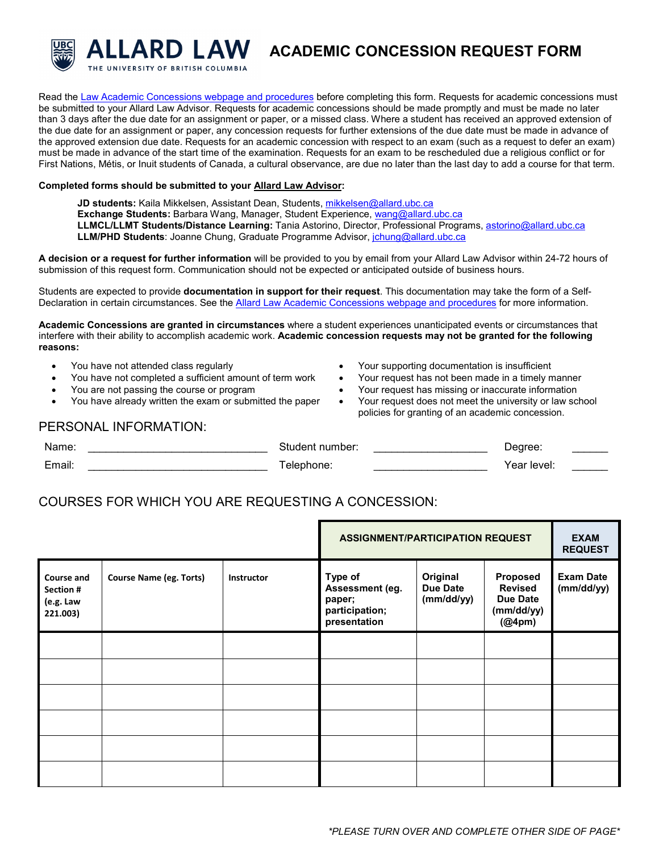

**ACADEMIC CONCESSION REQUEST FORM** 

Read the [Law Academic Concessions webpage and procedures](https://allard.ubc.ca/student-portal/academic-concessions-accommodations) before completing this form. Requests for academic concessions must be submitted to your Allard Law Advisor. Requests for academic concessions should be made promptly and must be made no later than 3 days after the due date for an assignment or paper, or a missed class. Where a student has received an approved extension of the due date for an assignment or paper, any concession requests for further extensions of the due date must be made in advance of the approved extension due date. Requests for an academic concession with respect to an exam (such as a request to defer an exam) must be made in advance of the start time of the examination. Requests for an exam to be rescheduled due a religious conflict or for First Nations, Métis, or Inuit students of Canada, a cultural observance, are due no later than the last day to add a course for that term.

#### **Completed forms should be submitted to your Allard Law Advisor:**

**JD students:** Kaila Mikkelsen, Assistant Dean, Students[, mikkelsen@allard.ubc.ca](mailto:mikkelsen@allard.ubc.ca) **Exchange Students:** Barbara Wang, Manager, Student Experience, [wang@allard.ubc.ca](mailto:wang@allard.ubc.ca) **LLMCL/LLMT Students/Distance Learning:** Tania Astorino, Director, Professional Programs[, astorino@allard.ubc.ca](mailto:astorino@allard.ubc.ca) **LLM/PHD Students**: Joanne Chung, Graduate Programme Advisor, [jchung@allard.ubc.ca](mailto:jchung@allard.ubc.ca)

**A decision or a request for further information** will be provided to you by email from your Allard Law Advisor within 24-72 hours of submission of this request form. Communication should not be expected or anticipated outside of business hours.

Students are expected to provide **documentation in support for their request**. This documentation may take the form of a Self-Declaration in certain circumstances. See the [Allard Law Academic Concessions webpage and procedures](http://allard.ubc.ca/student-resources/jd-academic-services/academic-concessions-accommodations) for more information.

**Academic Concessions are granted in circumstances** where a student experiences unanticipated events or circumstances that interfere with their ability to accomplish academic work. **Academic concession requests may not be granted for the following reasons:**

- You have not attended class regularly
- You have not completed a sufficient amount of term work
- You are not passing the course or program
- You have already written the exam or submitted the paper
- Your supporting documentation is insufficient
- Your request has not been made in a timely manner
- Your request has missing or inaccurate information
- Your request does not meet the university or law school policies for granting of an academic concession.

#### PERSONAL INFORMATION:

Name: \_\_\_\_\_\_\_\_\_\_\_\_\_\_\_\_\_\_\_\_\_\_\_\_\_\_\_\_\_\_ Student number: \_\_\_\_\_\_\_\_\_\_\_\_\_\_\_\_\_\_\_ Degree: \_\_\_\_\_\_ Email: \_\_\_\_\_\_\_\_\_\_\_\_\_\_\_\_\_\_\_\_\_\_\_\_\_\_\_\_\_\_ Telephone: \_\_\_\_\_\_\_\_\_\_\_\_\_\_\_\_\_\_\_ Year level: \_\_\_\_\_\_

# COURSES FOR WHICH YOU ARE REQUESTING A CONCESSION:

|                                                  |                                |                   | <b>ASSIGNMENT/PARTICIPATION REQUEST</b>                                |                                    |                                                                | <b>EXAM</b><br><b>REQUEST</b>  |
|--------------------------------------------------|--------------------------------|-------------------|------------------------------------------------------------------------|------------------------------------|----------------------------------------------------------------|--------------------------------|
| Course and<br>Section #<br>(e.g. Law<br>221.003) | <b>Course Name (eg. Torts)</b> | <b>Instructor</b> | Type of<br>Assessment (eg.<br>paper;<br>participation;<br>presentation | Original<br>Due Date<br>(mm/dd/yy) | Proposed<br><b>Revised</b><br>Due Date<br>(mm/dd/yy)<br>(@4pm) | <b>Exam Date</b><br>(mm/dd/yy) |
|                                                  |                                |                   |                                                                        |                                    |                                                                |                                |
|                                                  |                                |                   |                                                                        |                                    |                                                                |                                |
|                                                  |                                |                   |                                                                        |                                    |                                                                |                                |
|                                                  |                                |                   |                                                                        |                                    |                                                                |                                |
|                                                  |                                |                   |                                                                        |                                    |                                                                |                                |
|                                                  |                                |                   |                                                                        |                                    |                                                                |                                |